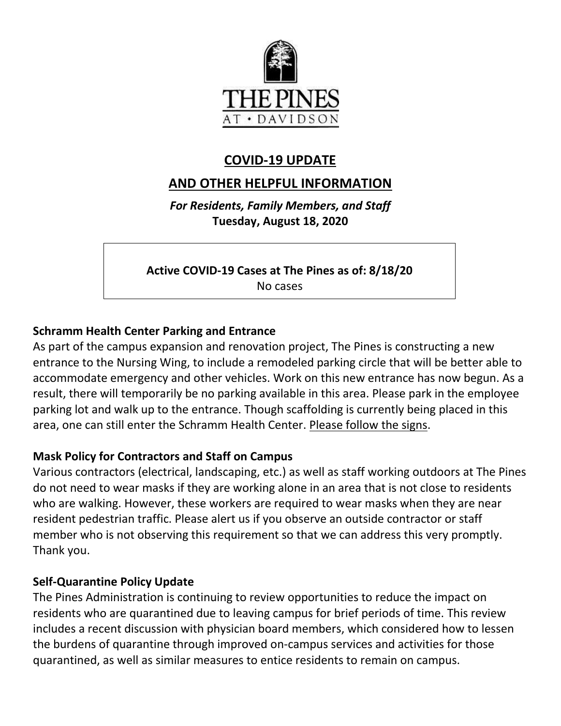

# **COVID-19 UPDATE**

# **AND OTHER HELPFUL INFORMATION**

*For Residents, Family Members, and Staff* **Tuesday, August 18, 2020**

**Active COVID-19 Cases at The Pines as of: 8/18/20**

No cases

## **Schramm Health Center Parking and Entrance**

As part of the campus expansion and renovation project, The Pines is constructing a new entrance to the Nursing Wing, to include a remodeled parking circle that will be better able to accommodate emergency and other vehicles. Work on this new entrance has now begun. As a result, there will temporarily be no parking available in this area. Please park in the employee parking lot and walk up to the entrance. Though scaffolding is currently being placed in this area, one can still enter the Schramm Health Center. Please follow the signs.

### **Mask Policy for Contractors and Staff on Campus**

Various contractors (electrical, landscaping, etc.) as well as staff working outdoors at The Pines do not need to wear masks if they are working alone in an area that is not close to residents who are walking. However, these workers are required to wear masks when they are near resident pedestrian traffic. Please alert us if you observe an outside contractor or staff member who is not observing this requirement so that we can address this very promptly. Thank you.

### **Self-Quarantine Policy Update**

The Pines Administration is continuing to review opportunities to reduce the impact on residents who are quarantined due to leaving campus for brief periods of time. This review includes a recent discussion with physician board members, which considered how to lessen the burdens of quarantine through improved on-campus services and activities for those quarantined, as well as similar measures to entice residents to remain on campus.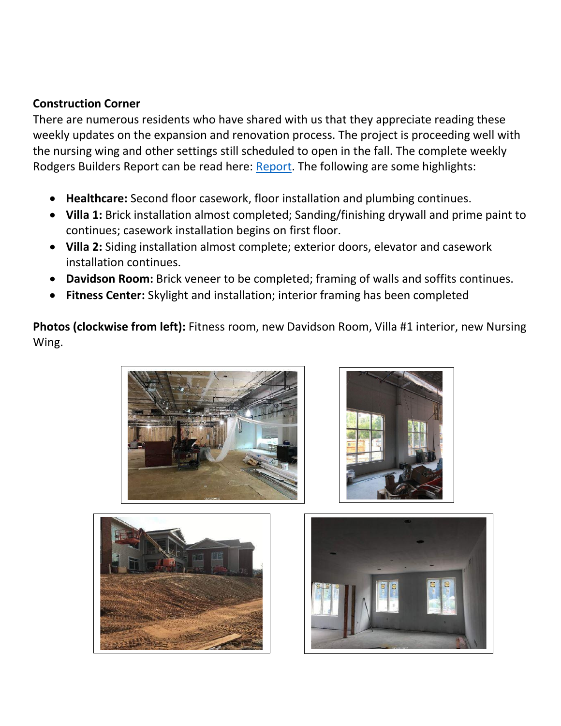### **Construction Corner**

There are numerous residents who have shared with us that they appreciate reading these weekly updates on the expansion and renovation process. The project is proceeding well with the nursing wing and other settings still scheduled to open in the fall. The complete weekly Rodgers Builders Report can be read here: [Report.](https://www.mycommunity-center.com/filephotos/463/2020-08-14%20Weekly%20Update.pdf) The following are some highlights:

- **Healthcare:** Second floor casework, floor installation and plumbing continues.
- **Villa 1:** Brick installation almost completed; Sanding/finishing drywall and prime paint to continues; casework installation begins on first floor.
- **Villa 2:** Siding installation almost complete; exterior doors, elevator and casework installation continues.
- **Davidson Room:** Brick veneer to be completed; framing of walls and soffits continues.
- **Fitness Center:** Skylight and installation; interior framing has been completed

**Photos (clockwise from left):** Fitness room, new Davidson Room, Villa #1 interior, new Nursing Wing.